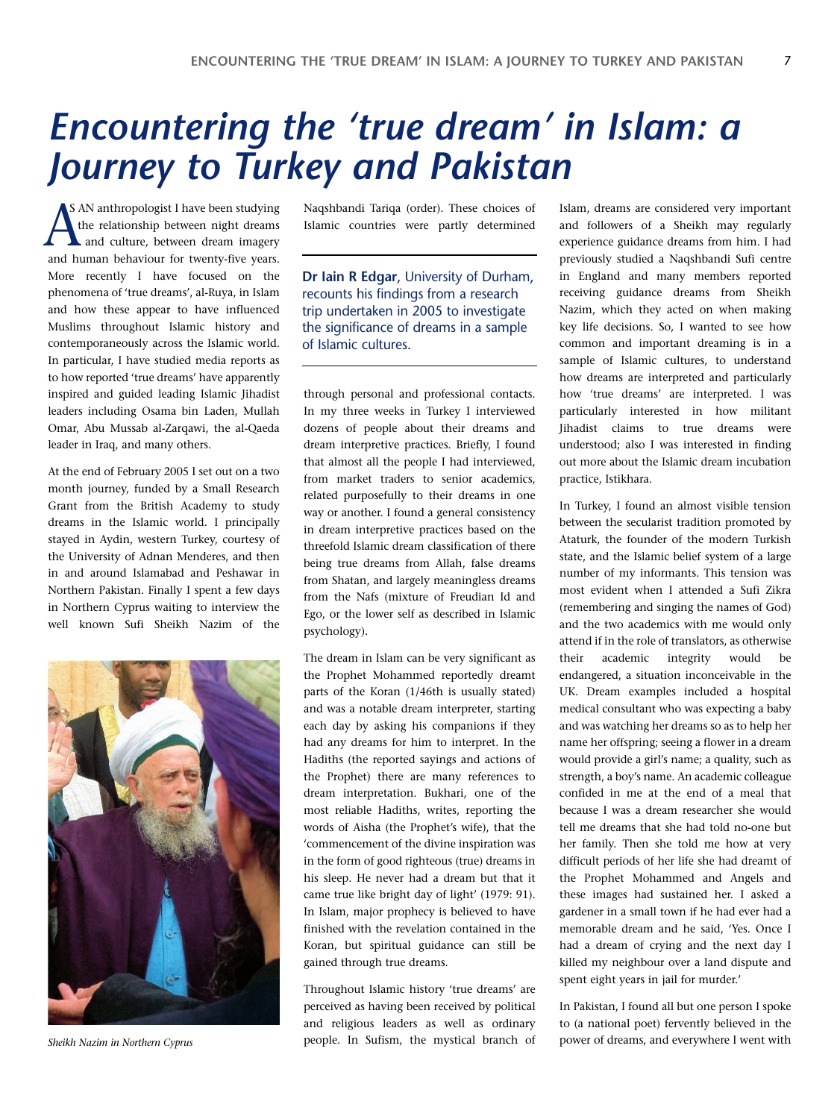## *Encountering the 'true dream' in Islam: a Journey to Turkey and Pakistan*

S AN anthropologist I have been studying the relationship between night dreams **A** and culture, between dream imagery AS AN anthropologist I have been studying<br>the relationship between night dreams<br>and culture, between dream imagery<br>and human behaviour for twenty-five years. More recently I have focused on the phenomena of 'true dreams', al-Ruya, in Islam and how these appear to have influenced Muslims throughout Islamic history and contemporaneously across the Islamic world. In particular, I have studied media reports as to how reported 'true dreams' have apparently inspired and guided leading Islamic Jihadist leaders including Osama bin Laden, Mullah Omar, Abu Mussab al-Zarqawi, the al-Qaeda leader in Iraq, and many others.

At the end of February 2005 I set out on a two month journey, funded by a Small Research Grant from the British Academy to study dreams in the Islamic world. I principally stayed in Aydin, western Turkey, courtesy of the University of Adnan Menderes, and then in and around Islamabad and Peshawar in Northern Pakistan. Finally I spent a few days in Northern Cyprus waiting to interview the well known Sufi Sheikh Nazim of the



*Sheikh Nazim in Northern Cyprus*

Naqshbandi Tariqa (order). These choices of Islamic countries were partly determined

**Dr Iain R Edgar**, University of Durham, recounts his findings from a research trip undertaken in 2005 to investigate the significance of dreams in a sample of Islamic cultures.

through personal and professional contacts. In my three weeks in Turkey I interviewed dozens of people about their dreams and dream interpretive practices. Briefly, I found that almost all the people I had interviewed, from market traders to senior academics, related purposefully to their dreams in one way or another. I found a general consistency in dream interpretive practices based on the threefold Islamic dream classification of there being true dreams from Allah, false dreams from Shatan, and largely meaningless dreams from the Nafs (mixture of Freudian Id and Ego, or the lower self as described in Islamic psychology).

The dream in Islam can be very significant as the Prophet Mohammed reportedly dreamt parts of the Koran (1/46th is usually stated) and was a notable dream interpreter, starting each day by asking his companions if they had any dreams for him to interpret. In the Hadiths (the reported sayings and actions of the Prophet) there are many references to dream interpretation. Bukhari, one of the most reliable Hadiths, writes, reporting the words of Aisha (the Prophet's wife), that the 'commencement of the divine inspiration was in the form of good righteous (true) dreams in his sleep. He never had a dream but that it came true like bright day of light' (1979: 91). In Islam, major prophecy is believed to have finished with the revelation contained in the Koran, but spiritual guidance can still be gained through true dreams.

Throughout Islamic history 'true dreams' are perceived as having been received by political and religious leaders as well as ordinary people. In Sufism, the mystical branch of Islam, dreams are considered very important and followers of a Sheikh may regularly experience guidance dreams from him. I had previously studied a Naqshbandi Sufi centre in England and many members reported receiving guidance dreams from Sheikh Nazim, which they acted on when making key life decisions. So, I wanted to see how common and important dreaming is in a sample of Islamic cultures, to understand how dreams are interpreted and particularly how 'true dreams' are interpreted. I was particularly interested in how militant Jihadist claims to true dreams were understood; also I was interested in finding out more about the Islamic dream incubation practice, Istikhara.

In Turkey, I found an almost visible tension between the secularist tradition promoted by Ataturk, the founder of the modern Turkish state, and the Islamic belief system of a large number of my informants. This tension was most evident when I attended a Sufi Zikra (remembering and singing the names of God) and the two academics with me would only attend if in the role of translators, as otherwise their academic integrity would be endangered, a situation inconceivable in the UK. Dream examples included a hospital medical consultant who was expecting a baby and was watching her dreams so as to help her name her offspring; seeing a flower in a dream would provide a girl's name; a quality, such as strength, a boy's name. An academic colleague confided in me at the end of a meal that because I was a dream researcher she would tell me dreams that she had told no-one but her family. Then she told me how at very difficult periods of her life she had dreamt of the Prophet Mohammed and Angels and these images had sustained her. I asked a gardener in a small town if he had ever had a memorable dream and he said, 'Yes. Once I had a dream of crying and the next day I killed my neighbour over a land dispute and spent eight years in jail for murder.'

In Pakistan, I found all but one person I spoke to (a national poet) fervently believed in the power of dreams, and everywhere I went with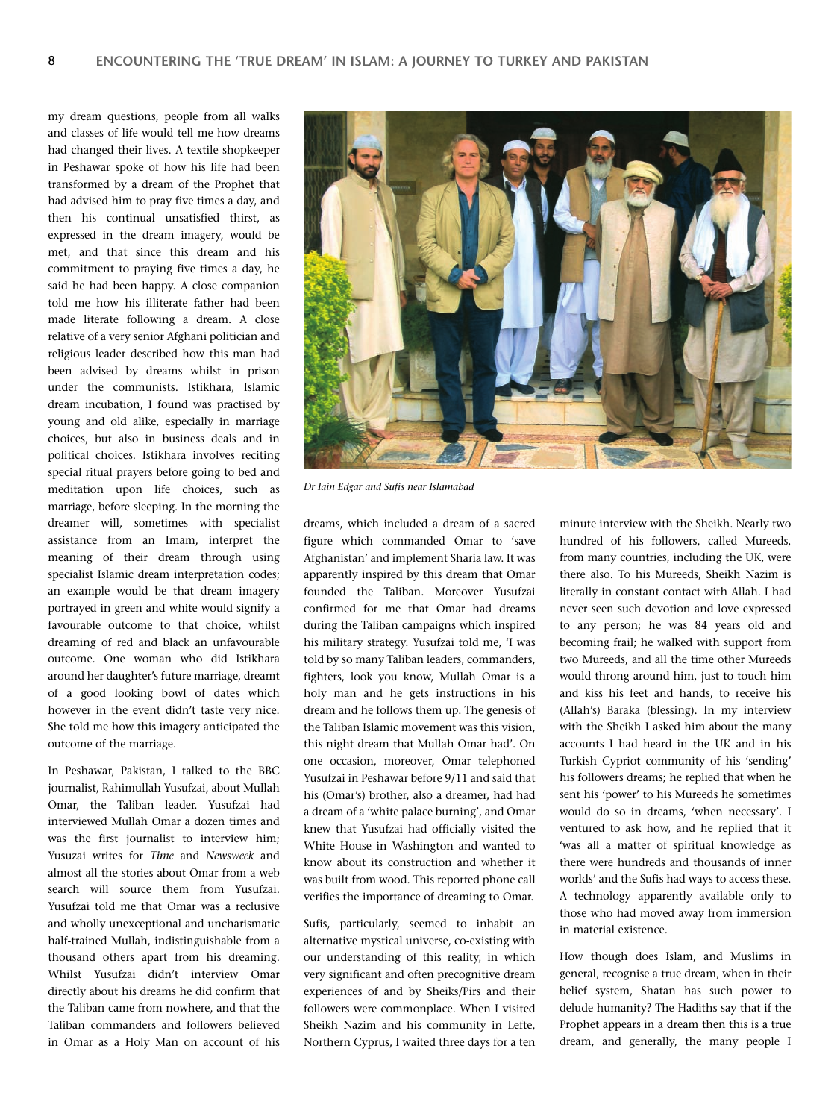my dream questions, people from all walks and classes of life would tell me how dreams had changed their lives. A textile shopkeeper in Peshawar spoke of how his life had been transformed by a dream of the Prophet that had advised him to pray five times a day, and then his continual unsatisfied thirst, as expressed in the dream imagery, would be met, and that since this dream and his commitment to praying five times a day, he said he had been happy. A close companion told me how his illiterate father had been made literate following a dream. A close relative of a very senior Afghani politician and religious leader described how this man had been advised by dreams whilst in prison under the communists. Istikhara, Islamic dream incubation, I found was practised by young and old alike, especially in marriage choices, but also in business deals and in political choices. Istikhara involves reciting special ritual prayers before going to bed and meditation upon life choices, such as marriage, before sleeping. In the morning the dreamer will, sometimes with specialist assistance from an Imam, interpret the meaning of their dream through using specialist Islamic dream interpretation codes; an example would be that dream imagery portrayed in green and white would signify a favourable outcome to that choice, whilst dreaming of red and black an unfavourable outcome. One woman who did Istikhara around her daughter's future marriage, dreamt of a good looking bowl of dates which however in the event didn't taste very nice. She told me how this imagery anticipated the outcome of the marriage.

In Peshawar, Pakistan, I talked to the BBC journalist, Rahimullah Yusufzai, about Mullah Omar, the Taliban leader. Yusufzai had interviewed Mullah Omar a dozen times and was the first journalist to interview him; Yusuzai writes for *Time* and *Newsweek* and almost all the stories about Omar from a web search will source them from Yusufzai. Yusufzai told me that Omar was a reclusive and wholly unexceptional and uncharismatic half-trained Mullah, indistinguishable from a thousand others apart from his dreaming. Whilst Yusufzai didn't interview Omar directly about his dreams he did confirm that the Taliban came from nowhere, and that the Taliban commanders and followers believed in Omar as a Holy Man on account of his



*Dr Iain Edgar and Sufis near Islamabad*

dreams, which included a dream of a sacred figure which commanded Omar to 'save Afghanistan' and implement Sharia law. It was apparently inspired by this dream that Omar founded the Taliban. Moreover Yusufzai confirmed for me that Omar had dreams during the Taliban campaigns which inspired his military strategy. Yusufzai told me, 'I was told by so many Taliban leaders, commanders, fighters, look you know, Mullah Omar is a holy man and he gets instructions in his dream and he follows them up. The genesis of the Taliban Islamic movement was this vision, this night dream that Mullah Omar had'. On one occasion, moreover, Omar telephoned Yusufzai in Peshawar before 9/11 and said that his (Omar's) brother, also a dreamer, had had a dream of a 'white palace burning', and Omar knew that Yusufzai had officially visited the White House in Washington and wanted to know about its construction and whether it was built from wood. This reported phone call verifies the importance of dreaming to Omar.

Sufis, particularly, seemed to inhabit an alternative mystical universe, co-existing with our understanding of this reality, in which very significant and often precognitive dream experiences of and by Sheiks/Pirs and their followers were commonplace. When I visited Sheikh Nazim and his community in Lefte, Northern Cyprus, I waited three days for a ten

minute interview with the Sheikh. Nearly two hundred of his followers, called Mureeds, from many countries, including the UK, were there also. To his Mureeds, Sheikh Nazim is literally in constant contact with Allah. I had never seen such devotion and love expressed to any person; he was 84 years old and becoming frail; he walked with support from two Mureeds, and all the time other Mureeds would throng around him, just to touch him and kiss his feet and hands, to receive his (Allah's) Baraka (blessing). In my interview with the Sheikh I asked him about the many accounts I had heard in the UK and in his Turkish Cypriot community of his 'sending' his followers dreams; he replied that when he sent his 'power' to his Mureeds he sometimes would do so in dreams, 'when necessary'. I ventured to ask how, and he replied that it 'was all a matter of spiritual knowledge as there were hundreds and thousands of inner worlds' and the Sufis had ways to access these. A technology apparently available only to those who had moved away from immersion in material existence.

How though does Islam, and Muslims in general, recognise a true dream, when in their belief system, Shatan has such power to delude humanity? The Hadiths say that if the Prophet appears in a dream then this is a true dream, and generally, the many people I